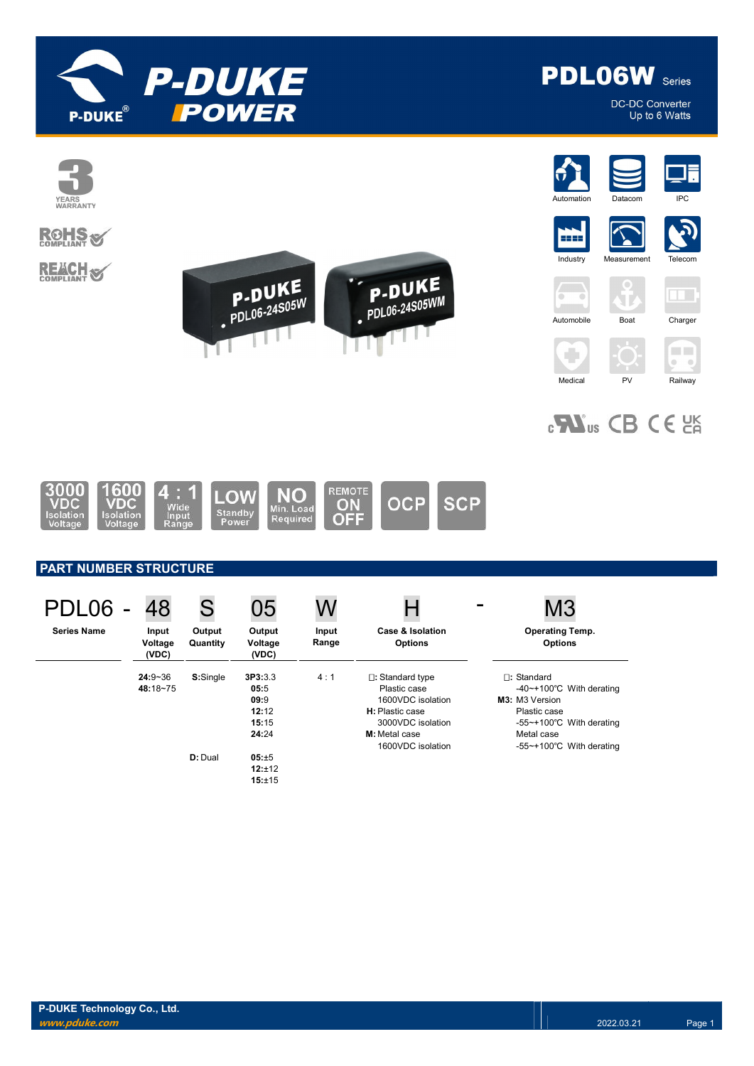



DC-DC Converter Up to 6 Watts



# **ROHS**

**REACH S** 





÷













# $_{c}$ Nus CB CE  $_{c}$



### PART NUMBER STRUCTURE

| PDL06              | 48                        | S                  | 05                                                 | W              |                                                                                                                                                             | M <sub>3</sub>                                                                                                                                                                         |
|--------------------|---------------------------|--------------------|----------------------------------------------------|----------------|-------------------------------------------------------------------------------------------------------------------------------------------------------------|----------------------------------------------------------------------------------------------------------------------------------------------------------------------------------------|
| <b>Series Name</b> | Input<br>Voltage<br>(VDC) | Output<br>Quantity | Output<br>Voltage<br>(VDC)                         | Input<br>Range | Case & Isolation<br><b>Options</b>                                                                                                                          | <b>Operating Temp.</b><br><b>Options</b>                                                                                                                                               |
|                    | $24:9 - 36$<br>48:18~75   | S:Single           | 3P3:3.3<br>05:5<br>09:9<br>12:12<br>15:15<br>24:24 | 4:1            | $\square$ : Standard type<br>Plastic case<br>1600VDC isolation<br><b>H</b> : Plastic case<br>3000VDC isolation<br><b>M:</b> Metal case<br>1600VDC isolation | $\square$ : Standard<br>-40~+100 $\degree$ C With derating<br>M3: M3 Version<br>Plastic case<br>-55~+100 $\degree$ C With derating<br>Metal case<br>-55~+100 $\degree$ C With derating |
|                    |                           | D: Dual            | 05:±5<br>12:±12<br>15:±15                          |                |                                                                                                                                                             |                                                                                                                                                                                        |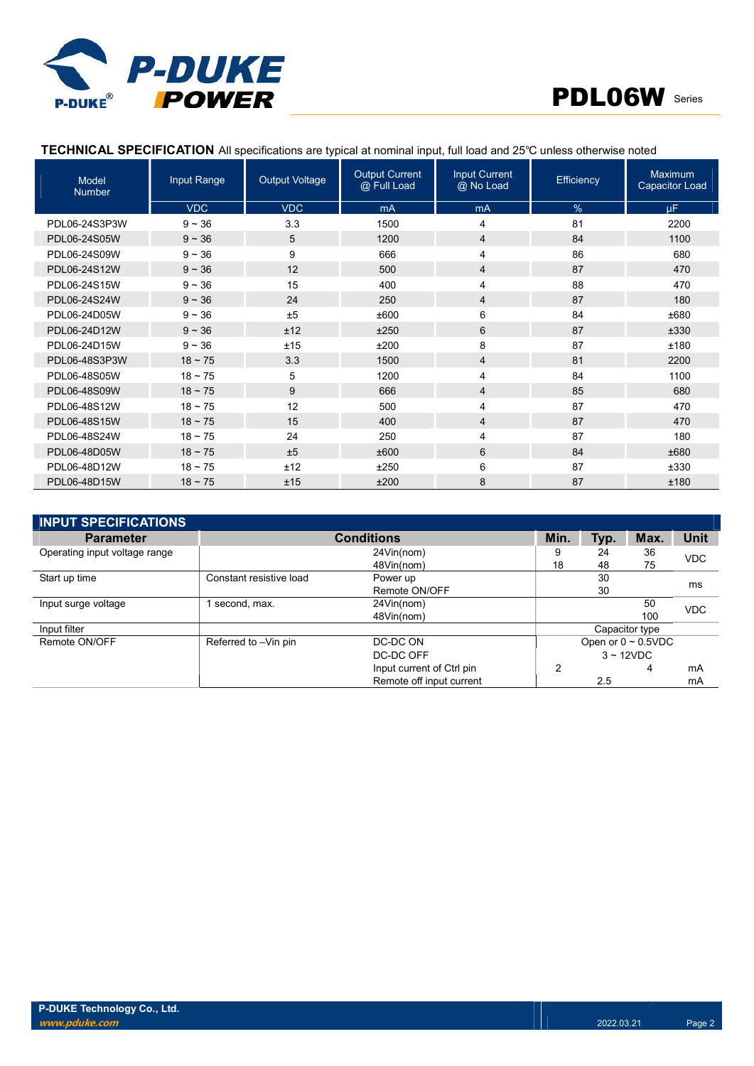



### TECHNICAL SPECIFICATION All specifications are typical at nominal input, full load and 25℃ unless otherwise noted

| Model<br><b>Number</b> | Input Range  | <b>Output Voltage</b> | <b>Output Current</b><br>@ Full Load | <b>Input Current</b><br>@ No Load | Efficiency | <b>Maximum</b><br><b>Capacitor Load</b> |
|------------------------|--------------|-----------------------|--------------------------------------|-----------------------------------|------------|-----------------------------------------|
|                        | <b>VDC</b>   | <b>VDC</b>            | mA                                   | mA                                | %          | <b>uF</b>                               |
| PDL06-24S3P3W          | $9 - 36$     | 3.3                   | 1500                                 | 4                                 | 81         | 2200                                    |
| PDL06-24S05W           | $9 - 36$     | 5                     | 1200                                 | $\overline{\mathbf{4}}$           | 84         | 1100                                    |
| PDL06-24S09W           | $9 - 36$     | 9                     | 666                                  | 4                                 | 86         | 680                                     |
| PDL06-24S12W           | $9 - 36$     | 12                    | 500                                  | 4                                 | 87         | 470                                     |
| PDL06-24S15W           | $9 - 36$     | 15                    | 400                                  | 4                                 | 88         | 470                                     |
| PDL06-24S24W           | $9 - 36$     | 24                    | 250                                  | 4                                 | 87         | 180                                     |
| PDL06-24D05W           | $9 - 36$     | ±5                    | ±600                                 | 6                                 | 84         | ±680                                    |
| PDL06-24D12W           | $9 - 36$     | ±12                   | ±250                                 | 6                                 | 87         | ±330                                    |
| PDL06-24D15W           | $9 - 36$     | ±15                   | ±200                                 | 8                                 | 87         | ±180                                    |
| PDL06-48S3P3W          | $18 \sim 75$ | 3.3                   | 1500                                 | 4                                 | 81         | 2200                                    |
| PDL06-48S05W           | $18 - 75$    | 5                     | 1200                                 | 4                                 | 84         | 1100                                    |
| PDL06-48S09W           | $18 \sim 75$ | 9                     | 666                                  | 4                                 | 85         | 680                                     |
| PDL06-48S12W           | $18 - 75$    | 12                    | 500                                  | 4                                 | 87         | 470                                     |
| PDL06-48S15W           | $18 \sim 75$ | 15                    | 400                                  | $\overline{\mathbf{4}}$           | 87         | 470                                     |
| PDL06-48S24W           | $18 - 75$    | 24                    | 250                                  | 4                                 | 87         | 180                                     |
| PDL06-48D05W           | $18 \sim 75$ | ±5                    | ±600                                 | 6                                 | 84         | ±680                                    |
| PDL06-48D12W           | $18 - 75$    | ±12                   | ±250                                 | 6                                 | 87         | ±330                                    |
| PDL06-48D15W           | $18 - 75$    | ±15                   | ±200                                 | 8                                 | 87         | ±180                                    |

| <b>INPUT SPECIFICATIONS</b>   |                         |                           |      |      |                          |            |
|-------------------------------|-------------------------|---------------------------|------|------|--------------------------|------------|
| <b>Parameter</b>              |                         | <b>Conditions</b>         | Min. | Typ. | Max.                     | Unit       |
| Operating input voltage range |                         | 24Vin(nom)                |      | 24   | 36                       | <b>VDC</b> |
|                               |                         | 48Vin(nom)                | 18   | 48   | 75                       |            |
| Start up time                 | Constant resistive load | Power up                  |      | 30   |                          |            |
|                               |                         | Remote ON/OFF             |      | 30   |                          | ms         |
| Input surge voltage           | second, max.            | 24Vin(nom)                |      |      | 50                       | <b>VDC</b> |
|                               |                         | 48Vin(nom)                |      |      | 100                      |            |
| Input filter                  |                         |                           |      |      | Capacitor type           |            |
| Remote ON/OFF                 | Referred to -Vin pin    | DC-DC ON                  |      |      | Open or $0 \sim 0.5$ VDC |            |
|                               |                         | DC-DC OFF                 |      |      | $3 \sim 12$ VDC          |            |
|                               |                         | Input current of Ctrl pin | 2    |      | 4                        | mA         |
|                               |                         | Remote off input current  |      | 2.5  |                          | mA         |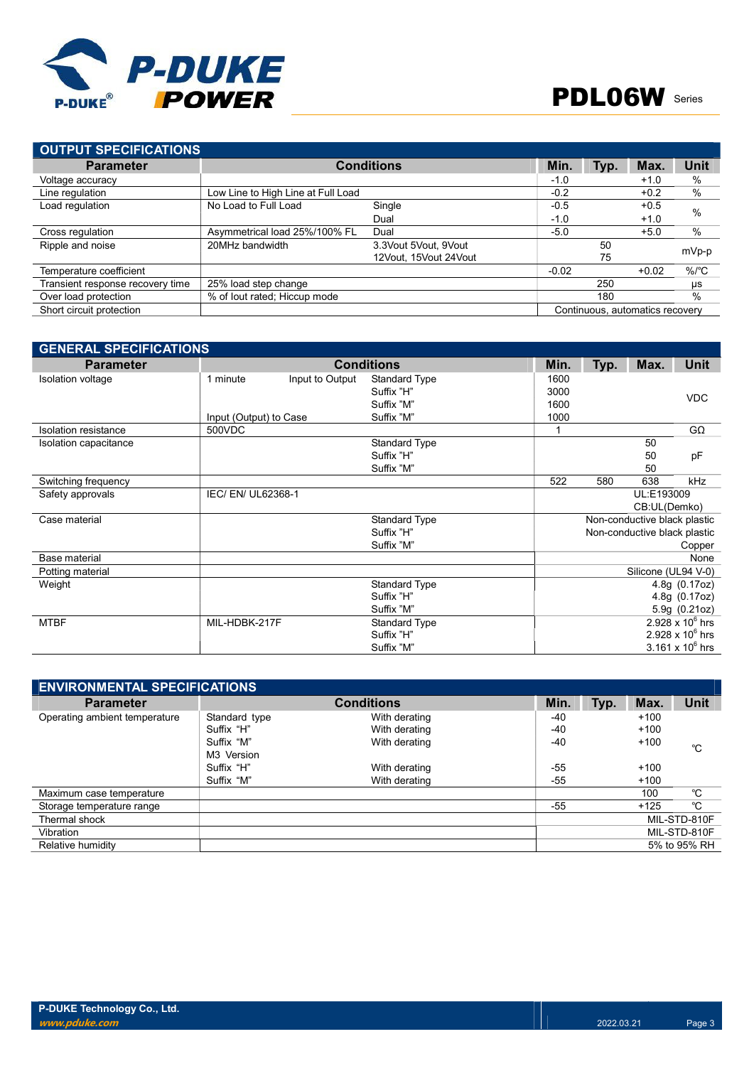

| <b>OUTPUT SPECIFICATIONS</b>     |                                    |                         |         |      |                                 |                    |
|----------------------------------|------------------------------------|-------------------------|---------|------|---------------------------------|--------------------|
| <b>Parameter</b>                 |                                    | <b>Conditions</b>       | Min.    | Typ. | Max.                            | <b>Unit</b>        |
| Voltage accuracy                 |                                    |                         | $-1.0$  |      | $+1.0$                          | %                  |
| Line regulation                  | Low Line to High Line at Full Load |                         | $-0.2$  |      | $+0.2$                          | %                  |
| Load regulation                  | No Load to Full Load               | Single                  | $-0.5$  |      | $+0.5$                          | $\%$               |
|                                  |                                    | Dual                    | $-1.0$  |      | $+1.0$                          |                    |
| Cross regulation                 | Asymmetrical load 25%/100% FL      | Dual                    | $-5.0$  |      | $+5.0$                          | %                  |
| Ripple and noise                 | 20MHz bandwidth                    | 3.3 Vout 5 Vout, 9 Vout |         | 50   |                                 | mVp-p              |
|                                  |                                    | 12Vout, 15Vout 24Vout   |         | 75   |                                 |                    |
| Temperature coefficient          |                                    |                         | $-0.02$ |      | $+0.02$                         | $%$ / $^{\circ}$ C |
| Transient response recovery time | 25% load step change               |                         |         | 250  |                                 | μs                 |
| Over load protection             | % of lout rated; Hiccup mode       |                         |         | 180  |                                 | $\%$               |
| Short circuit protection         |                                    |                         |         |      | Continuous, automatics recovery |                    |

| <b>GENERAL SPECIFICATIONS</b> |                        |                 |                      |      |      |                              |                         |
|-------------------------------|------------------------|-----------------|----------------------|------|------|------------------------------|-------------------------|
| <b>Parameter</b>              |                        |                 | <b>Conditions</b>    | Min. | Typ. | Max.                         | <b>Unit</b>             |
| <b>Isolation voltage</b>      | 1 minute               | Input to Output | <b>Standard Type</b> | 1600 |      |                              |                         |
|                               |                        |                 | Suffix "H"           | 3000 |      |                              | <b>VDC</b>              |
|                               |                        |                 | Suffix "M"           | 1600 |      |                              |                         |
|                               | Input (Output) to Case |                 | Suffix "M"           | 1000 |      |                              |                         |
| <b>Isolation resistance</b>   | 500VDC                 |                 |                      | 1    |      |                              | $G\Omega$               |
| Isolation capacitance         |                        |                 | <b>Standard Type</b> |      |      | 50                           |                         |
|                               |                        |                 | Suffix "H"           |      |      | 50                           | pF                      |
|                               |                        |                 | Suffix "M"           |      |      | 50                           |                         |
| Switching frequency           |                        |                 |                      | 522  | 580  | 638                          | kHz                     |
| Safety approvals              | IEC/ EN/ UL62368-1     |                 |                      |      |      | UL:E193009                   |                         |
|                               |                        |                 |                      |      |      | CB:UL(Demko)                 |                         |
| Case material                 |                        |                 | <b>Standard Type</b> |      |      | Non-conductive black plastic |                         |
|                               |                        |                 | Suffix "H"           |      |      | Non-conductive black plastic |                         |
|                               |                        |                 | Suffix "M"           |      |      |                              | Copper                  |
| Base material                 |                        |                 |                      |      |      |                              | None                    |
| Potting material              |                        |                 |                      |      |      | Silicone (UL94 V-0)          |                         |
| Weight                        |                        |                 | <b>Standard Type</b> |      |      |                              | 4.8g(0.17oz)            |
|                               |                        |                 | Suffix "H"           |      |      |                              | 4.8g (0.17oz)           |
|                               |                        |                 | Suffix "M"           |      |      |                              | 5.9g (0.21oz)           |
| <b>MTBF</b>                   | MIL-HDBK-217F          |                 | <b>Standard Type</b> |      |      |                              | 2.928 x $10^6$ hrs      |
|                               |                        |                 | Suffix "H"           |      |      |                              | $2.928 \times 10^6$ hrs |
|                               |                        |                 | Suffix "M"           |      |      |                              | $3.161 \times 10^6$ hrs |

| <b>ENVIRONMENTAL SPECIFICATIONS</b> |               |                   |       |      |        |              |
|-------------------------------------|---------------|-------------------|-------|------|--------|--------------|
| <b>Parameter</b>                    |               | <b>Conditions</b> | Min.  | Typ. | Max.   | Unit         |
| Operating ambient temperature       | Standard type | With derating     | -40   |      | $+100$ |              |
|                                     | Suffix "H"    | With derating     | $-40$ |      | $+100$ |              |
|                                     | Suffix "M"    | With derating     | $-40$ |      | $+100$ | °C           |
|                                     | M3 Version    |                   |       |      |        |              |
|                                     | Suffix "H"    | With derating     | -55   |      | $+100$ |              |
|                                     | Suffix "M"    | With derating     | $-55$ |      | $+100$ |              |
| Maximum case temperature            |               |                   |       |      | 100    | °C           |
| Storage temperature range           |               |                   | -55   |      | $+125$ | $^{\circ}C$  |
| Thermal shock                       |               |                   |       |      |        | MIL-STD-810F |
| Vibration                           |               |                   |       |      |        | MIL-STD-810F |
| Relative humidity                   |               |                   |       |      |        | 5% to 95% RH |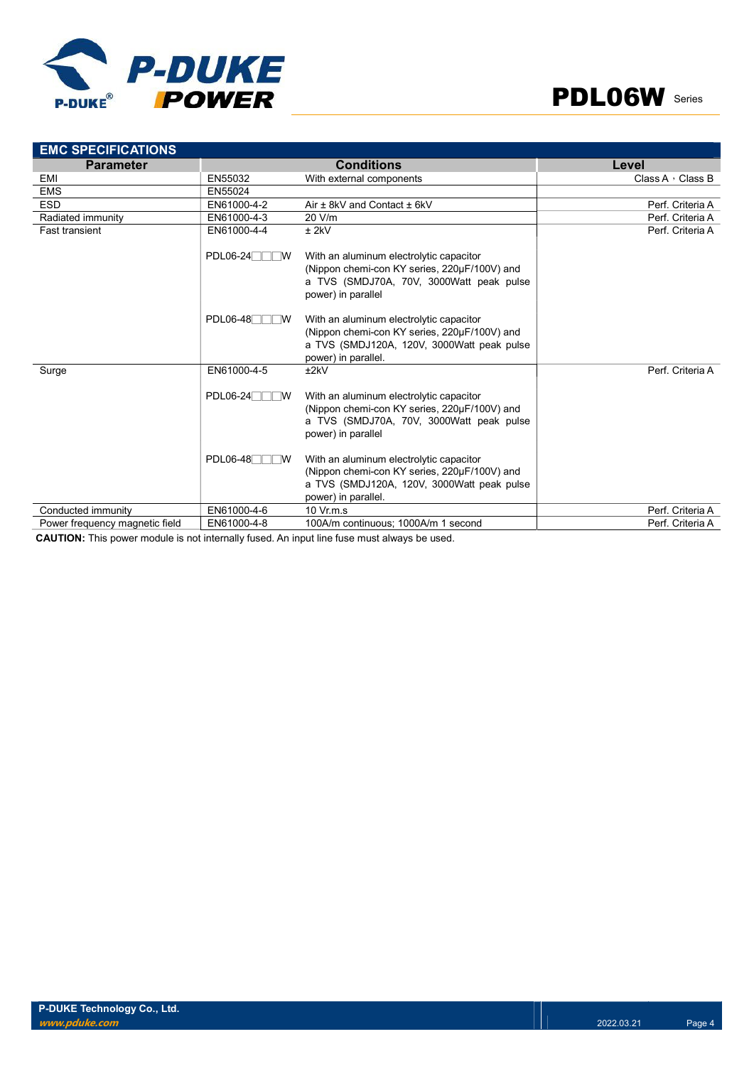



| <b>EMC SPECIFICATIONS</b>      |                        |                                                                                                                                                              |                         |
|--------------------------------|------------------------|--------------------------------------------------------------------------------------------------------------------------------------------------------------|-------------------------|
| <b>Parameter</b>               |                        | <b>Conditions</b>                                                                                                                                            | Level                   |
| EMI                            | EN55032                | With external components                                                                                                                                     | Class A $\cdot$ Class B |
| <b>EMS</b>                     | EN55024                |                                                                                                                                                              |                         |
| <b>ESD</b>                     | EN61000-4-2            | Air $\pm$ 8kV and Contact $\pm$ 6kV                                                                                                                          | Perf. Criteria A        |
| Radiated immunity              | EN61000-4-3            | 20 V/m                                                                                                                                                       | Perf. Criteria A        |
| <b>Fast transient</b>          | EN61000-4-4            | $±$ 2kV                                                                                                                                                      | Perf. Criteria A        |
|                                | $PDL06-24$<br>$\neg$ W | With an aluminum electrolytic capacitor<br>(Nippon chemi-con KY series, 220µF/100V) and<br>a TVS (SMDJ70A, 70V, 3000Watt peak pulse<br>power) in parallel    |                         |
|                                | $PDL06-48$<br>$\neg$ w | With an aluminum electrolytic capacitor<br>(Nippon chemi-con KY series, 220µF/100V) and<br>a TVS (SMDJ120A, 120V, 3000Watt peak pulse<br>power) in parallel. |                         |
| Surge                          | EN61000-4-5            | ±2kV                                                                                                                                                         | Perf. Criteria A        |
|                                | $PDL06-24$<br>™        | With an aluminum electrolytic capacitor<br>(Nippon chemi-con KY series, 220µF/100V) and<br>a TVS (SMDJ70A, 70V, 3000Watt peak pulse<br>power) in parallel    |                         |
|                                | $PDL06-48$<br>™        | With an aluminum electrolytic capacitor<br>(Nippon chemi-con KY series, 220µF/100V) and<br>a TVS (SMDJ120A, 120V, 3000Watt peak pulse<br>power) in parallel. |                         |
| Conducted immunity             | EN61000-4-6            | $10 \text{ Vr} \text{m} \text{ s}$                                                                                                                           | Perf. Criteria A        |
| Power frequency magnetic field | EN61000-4-8            | 100A/m continuous; 1000A/m 1 second                                                                                                                          | Perf. Criteria A        |

CAUTION: This power module is not internally fused. An input line fuse must always be used.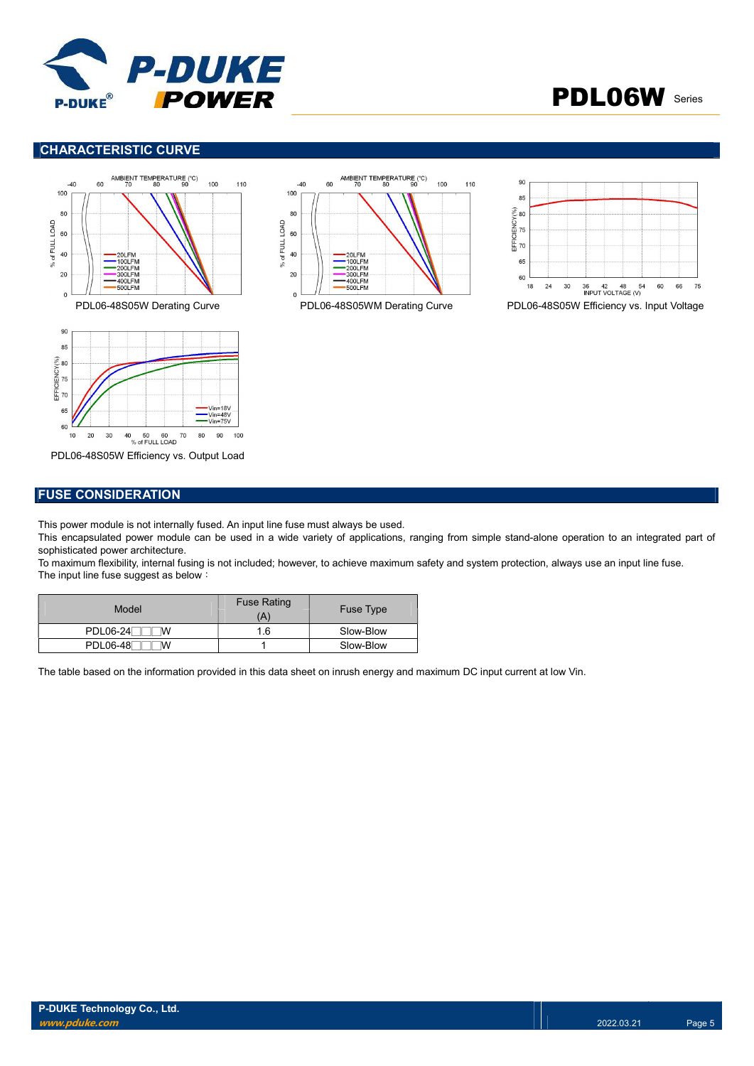

## PDL06W Series

### CHARACTERISTIC CURVE









PDL06-48S05W Efficiency vs. Output Load

### FUSE CONSIDERATION

This power module is not internally fused. An input line fuse must always be used.

This encapsulated power module can be used in a wide variety of applications, ranging from simple stand-alone operation to an integrated part of sophisticated power architecture.

To maximum flexibility, internal fusing is not included; however, to achieve maximum safety and system protection, always use an input line fuse. The input line fuse suggest as below:

| Model                | <b>Fuse Rating</b><br>A | <b>Fuse Type</b> |
|----------------------|-------------------------|------------------|
| $PDL06-24$<br>M      | 1.6                     | Slow-Blow        |
| <b>PDL06-48</b><br>M |                         | Slow-Blow        |

The table based on the information provided in this data sheet on inrush energy and maximum DC input current at low Vin.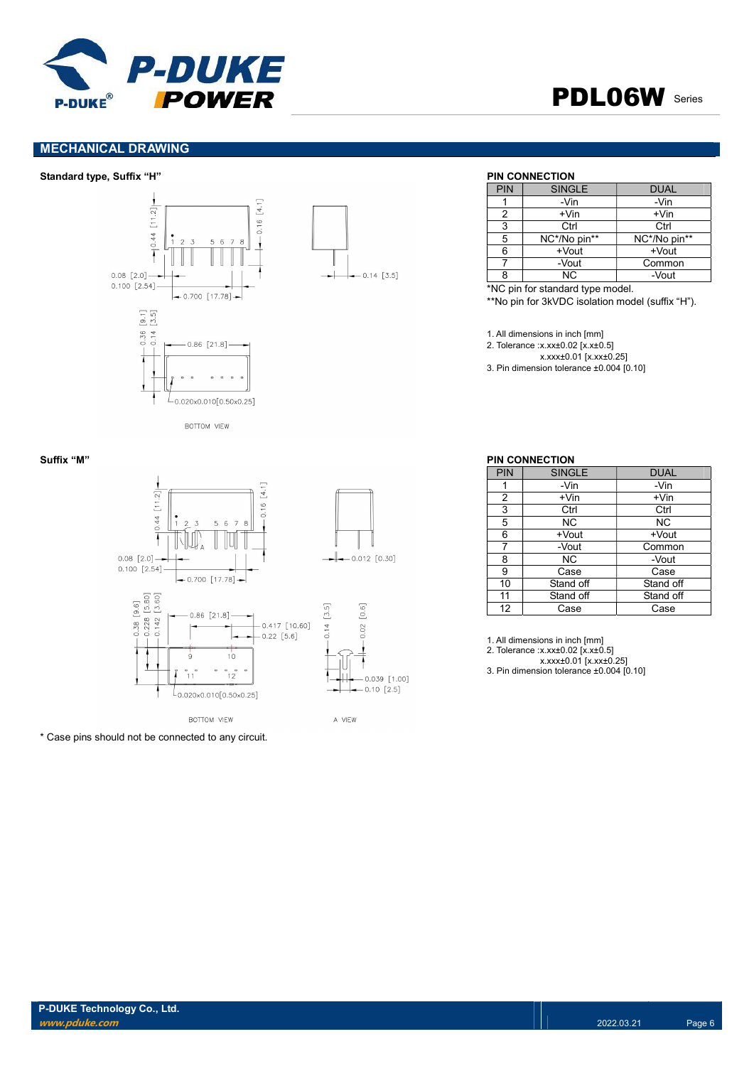

## PDL06W Series

### MECHANICAL DRAWING

### Standard type, Suffix "H" PIN CONNECTION



 $-0.14$  [3.5]

| PIN | <b>SINGLE</b> | <b>DUAL</b>  |
|-----|---------------|--------------|
|     | -Vin          | -Vin         |
| 2   | $+V$ in       | $+V$ in      |
| 3   | Ctrl          | Ctrl         |
| 5   | NC*/No pin**  | NC*/No pin** |
| 6   | $+$ Vout      | $+$ Vout     |
|     | -Vout         | Common       |
| ጸ   | ΝC            | -Vout        |

\*NC pin for standard type model.

\*\*No pin for 3kVDC isolation model (suffix "H").

1. All dimensions in inch [mm]

2. Tolerance :x.xx±0.02 [x.x±0.5]

x.xxx±0.01 [x.xx±0.25]

3. Pin dimension tolerance ±0.004 [0.10]



\* Case pins should not be connected to any circuit.

### Suffix "M" PIN CONNECTION

| PIN            | <b>SINGLE</b> | <b>DUAL</b> |
|----------------|---------------|-------------|
|                | -Vin          | -Vin        |
| $\overline{2}$ | $+V$ in       | +Vin        |
| 3              | Ctrl          | Ctrl        |
| 5              | NC.           | NС          |
| 6              | +Vout         | +Vout       |
| 7              | -Vout         | Common      |
| 8              | NC.           | -Vout       |
| 9              | Case          | Case        |
| 10             | Stand off     | Stand off   |
| 11             | Stand off     | Stand off   |
| 12             | Case          | Case        |

1. All dimensions in inch [mm]

2. Tolerance :x.xx±0.02 [x.x±0.5]

x.xxx±0.01 [x.xx±0.25]

3. Pin dimension tolerance ±0.004 [0.10]